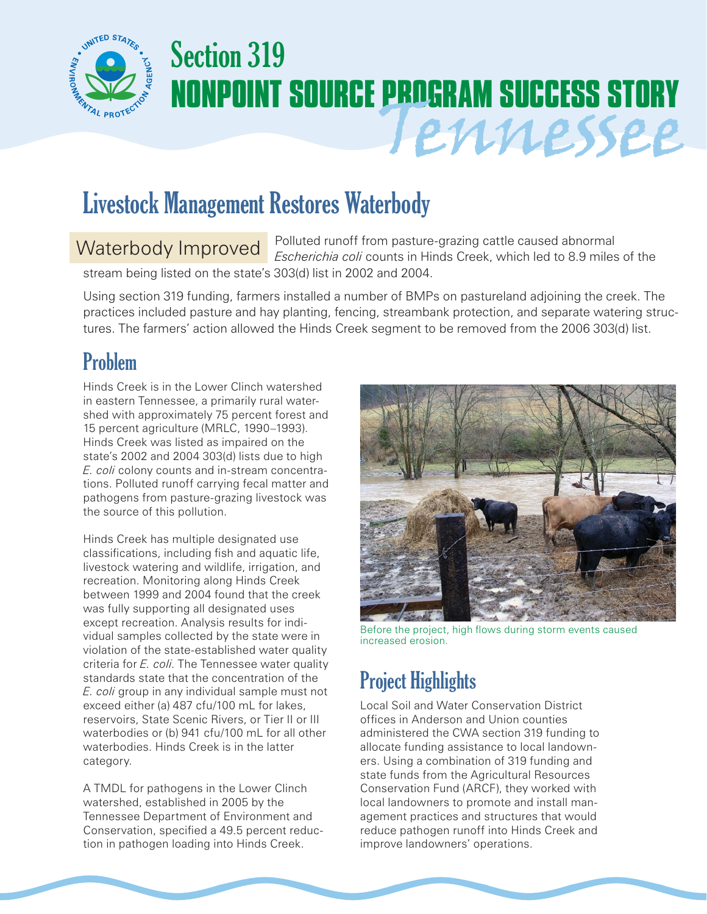

# Section 319 **NONPOINT SOURCE PROGRAM SUCCESS STORY** Tennessee

## Livestock Management Restores Waterbody

### Waterbody Improved

Polluted runoff from pasture-grazing cattle caused abnormal *Escherichia coli* counts in Hinds Creek, which led to 8.9 miles of the stream being listed on the state's 303(d) list in 2002 and 2004.

Using section 319 funding, farmers installed a number of BMPs on pastureland adjoining the creek. The practices included pasture and hay planting, fencing, streambank protection, and separate watering structures. The farmers' action allowed the Hinds Creek segment to be removed from the 2006 303(d) list.

### Problem

Hinds Creek is in the Lower Clinch watershed in eastern Tennessee, a primarily rural watershed with approximately 75 percent forest and 15 percent agriculture (MRLC, 1990–1993). Hinds Creek was listed as impaired on the state's 2002 and 2004 303(d) lists due to high *E. coli* colony counts and in-stream concentrations. Polluted runoff carrying fecal matter and pathogens from pasture-grazing livestock was the source of this pollution.

Hinds Creek has multiple designated use classifications, including fish and aquatic life, livestock watering and wildlife, irrigation, and recreation. Monitoring along Hinds Creek between 1999 and 2004 found that the creek was fully supporting all designated uses except recreation. Analysis results for individual samples collected by the state were in violation of the state-established water quality criteria for *E. coli*. The Tennessee water quality standards state that the concentration of the *E. coli* group in any individual sample must not exceed either (a) 487 cfu/100 mL for lakes, reservoirs, State Scenic Rivers, or Tier II or III waterbodies or (b) 941 cfu/100 mL for all other waterbodies. Hinds Creek is in the latter category.

A TMDL for pathogens in the Lower Clinch watershed, established in 2005 by the Tennessee Department of Environment and Conservation, specified a 49.5 percent reduction in pathogen loading into Hinds Creek.



Before the project, high flows during storm events caused increased erosion.

### Project Highlights

Local Soil and Water Conservation District offices in Anderson and Union counties administered the CWA section 319 funding to allocate funding assistance to local landowners. Using a combination of 319 funding and state funds from the Agricultural Resources Conservation Fund (ARCF), they worked with local landowners to promote and install management practices and structures that would reduce pathogen runoff into Hinds Creek and improve landowners' operations.